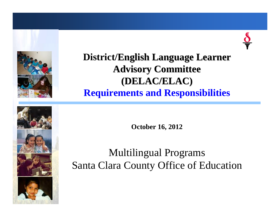



### **District/English Language Learner Advisory Committee (DELAC/ELAC) (DELAC/ELAC) Requirements and Responsibilities**

**October 16, 2012**

### Multilingual Programs Santa Clara County Office of Education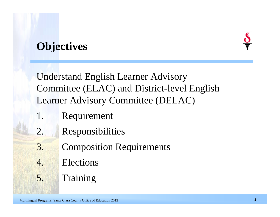### **Objectives**



Understand English Learner Advisory Committee (ELAC) and District-level English Learner Advisory Committee (DELAC)

- 1. Requirement
- 2. Responsibilities
- **3. Composition Requirements**
- 4. Elections
- 5. Training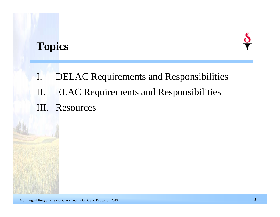### **Topics**



I. DELAC Requirements and Responsibilities

- II. ELAC Requirements and Responsibilities
- III. Resources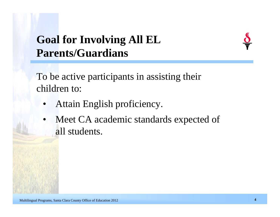# **Goal for Involving All EL Parents/Guardians**



To be active participants in assisting their children to:

- Attain English proficiency.
- Meet CA academic standards expected of all students.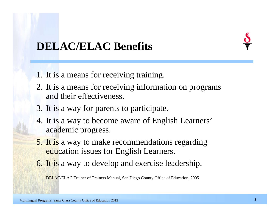

### **DELAC/ELAC Benefits**

- 1. It is a means for receiving training.
- 2. It is a means for receiving information on programs and their effectiveness.
- 3. It is a way for parents to participate.
- 4. It is a way to become aware of English Learners' academic progress.
- 5. It is a way to make recommendations regarding education issues for English Learners.
- 6. It is a way to develop and exercise leadership.

DELAC/ELAC Trainer of Trainers Manual, San Diego County Office of Education, 2005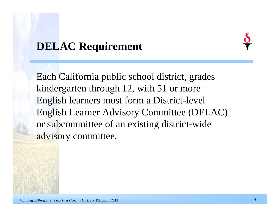### **DELAC Requirement**



Each California public school district, grades kindergarten through 12, with 51 or more English learners must form a District-level English Learner Advisory Committee (DELAC) or subcommittee of an existing district-wide advisory committee.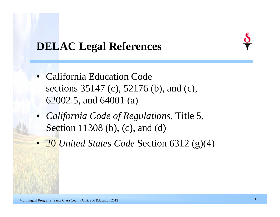

### **DELAC Legal References**

- California Education Code sections 35147 (c), 52176 (b), and (c), 62002.5, and 64001 (a)
- *California Code of Regulations*, Title 5, Section 11308 (b), (c), and (d)
- 20 *United States Code* Section 6312 (g)(4)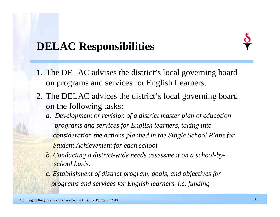### **DELAC Responsibilities**

- 1. The DELAC advises the district's local governing board on programs and services for English Learners.
- 2. The DELAC advices the district's local governing board on the following tasks:
	- *a. Development or revision of a district master plan of education programs and services for English learners, taking into consideration the actions planned in the Single School Plans for Student Achievement for each school.*
	- *b. Conducting a district-wide needs assessment on a school-byschool basis.*
	- *c. Establishment of district program, goals, and objectives for programs and services for English learners, i.e. funding*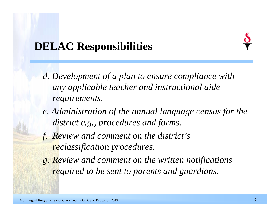### **DELAC Responsibilities**

- *d. Development of a plan to ensure compliance with any applicable teacher and instructional aide requirements.*
- *e. Administration of the annual language census for the district e.g., procedures and forms.*
- *f. Review and comment on the district's reclassification procedures.*
- *g. Review and comment on the written notifications required to be sent to parents and guardians.*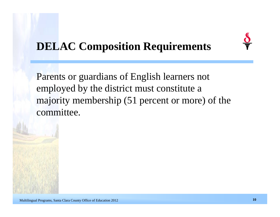# **DELAC Composition Requirements**

Parents or guardians of English learners not employed by the district must constitute a majority membership (51 percent or more) of the committee.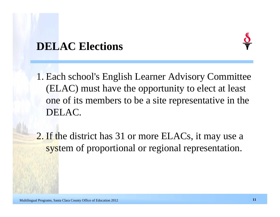### **DELAC Elections**



1. Each school's English Learner Advisory Committee (ELAC) must have the opportunity to elect at least one of its members to be a site representative in the DELAC.

2. If the district has 31 or more ELACs, it may use a system of proportional or regional representation.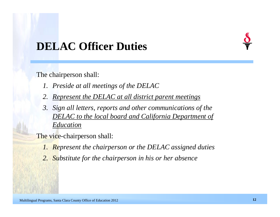### **DELAC Officer Duties**

The chairperson shall:

- *1. Preside at all meetings of the DELAC*
- *2. Represent the DELAC at all district parent meetings*
- *3. Sign all letters, reports and other communications of the DELAC to the local board and California Department of Education*

The vice-chairperson shall:

- *1. Represent the chairperson or the DELAC assigned duties*
- *2. Substitute for the chairperson in his or her absence*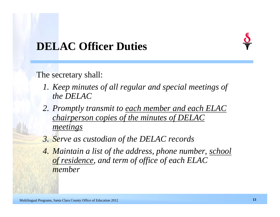### **DELAC Officer Duties**

The secretary shall:

- *1. Keep minutes of all regular and special meetings of the DELAC*
- *2. Promptly transmit to each member and each ELAC chairperson copies of the minutes of DELAC meetings*
- *3. Serve as custodian of the DELAC records*
- *4. Maintain a list of the address, phone number, school of residence, and term of office of each ELAC member*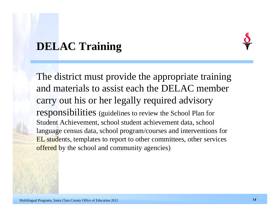### **DELAC Training**

The district must provide the appropriate training and materials to assist each the DELAC member carry out his or her legally required advisory responsibilities (guidelines to review the School Plan for Student Achievement, school student achievement data, school language census data, school program/courses and interventions for EL students, templates to report to other committees, other services offered by the school and community agencies)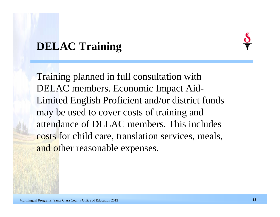### **DELAC Training**

Training planned in full consultation with DELAC members. Economic Impact Aid-Limited English Proficient and/or district funds may be used to cover costs of training and attendance of DELAC members. This includes costs for child care, translation services, meals, and other reasonable expenses.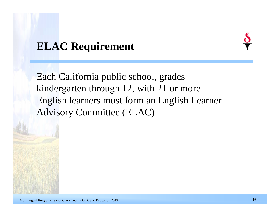### **ELAC Requirement**

Each California public school, grades kindergarten through 12, with 21 or more English learners must form an English Learner Advisory Committee (ELAC)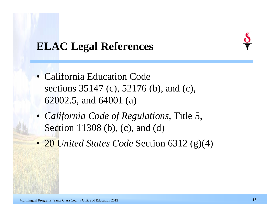### **ELAC Legal References**

- California Education Code sections 35147 (c), 52176 (b), and (c), 62002.5, and 64001 (a)
- *California Code of Regulations*, Title 5, Section 11308 (b), (c), and (d)
- 20 *United States Code* Section 6312 (g)(4)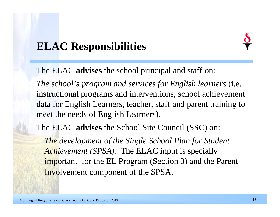### **ELAC Responsibilities**



The ELAC **advises** the school principal and staff on:

*The school's program and services for English learners* (i.e. instructional programs and interventions, school achievement data for English Learners, teacher, staff and parent training to meet the needs of English Learners).

The ELAC **advises** the School Site Council (SSC) on:

*The development of the Single School Plan for Student Achievement (SPSA).* The ELAC input is specially important for the EL Program (Section 3) and the Parent Involvement component of the SPSA.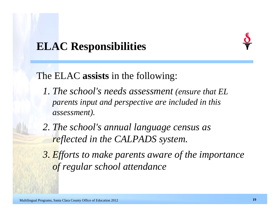### **ELAC Responsibilities**

### The ELAC **assists** in the following:

- *1. The school's needs assessment (ensure that EL parents input and perspective are included in this assessment).*
- *2. The school's annual language census as reflected in the CALPADS system.*
- *3. Efforts to make parents aware of the importance of regular school attendance*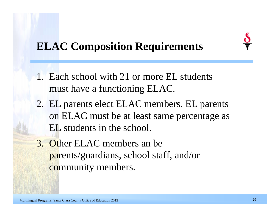# **ELAC Composition Requirements**

- 1. Each school with 21 or more EL students must have a functioning ELAC.
- 2. EL parents elect ELAC members. EL parents on ELAC must be at least same percentage as EL students in the school.
- 3. Other ELAC members an be parents/guardians, school staff, and/or community members.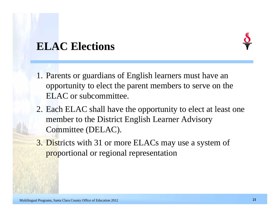### **ELAC Elections**

- 1. Parents or guardians of English learners must have an opportunity to elect the parent members to serve on the ELAC or subcommittee.
- 2. Each ELAC shall have the opportunity to elect at least one member to the District English Learner Advisory Committee (DELAC).
- 3. Districts with 31 or more ELACs may use a system of proportional or regional representation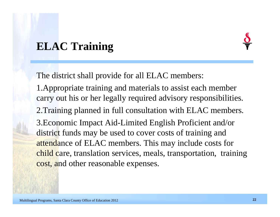# **ELAC Training**

The district shall provide for all ELAC members:

1.Appropriate training and materials to assist each member carry out his or her legally required advisory responsibilities.

2.Training planned in full consultation with ELAC members.

3.Economic Impact Aid-Limited English Proficient and/or district funds may be used to cover costs of training and attendance of ELAC members. This may include costs for child care, translation services, meals, transportation, training cost, and other reasonable expenses.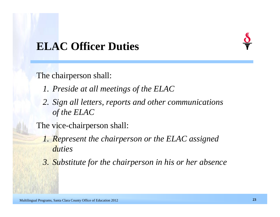### **ELAC Officer Duties**

The chairperson shall:

- *1. Preside at all meetings of the ELAC*
- *2. Sign all letters, reports and other communications of the ELAC*

The vice-chairperson shall:

- *1. Represent the chairperson or the ELAC assigned duties*
- *3. Substitute for the chairperson in his or her absence*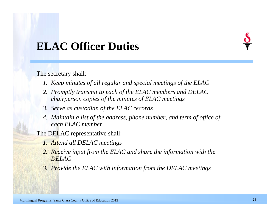### **ELAC Officer Duties**

The secretary shall:

- *1. Keep minutes of all regular and special meetings of the ELAC*
- *2. Promptly transmit to each of the ELAC members and DELAC chairperson copies of the minutes of ELAC meetings*
- *3. Serve as custodian of the ELAC records*
- *4. Maintain a list of the address, phone number, and term of office of each ELAC member*
- The DELAC representative shall:
	- *1. Attend all DELAC meetings*
	- *2. Receive input from the ELAC and share the information with the DELAC*
	- *3. Provide the ELAC with information from the DELAC meetings*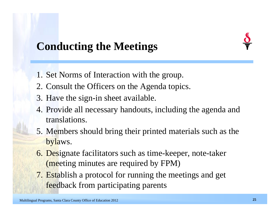# **Conducting the Meetings**

- 1. Set Norms of Interaction with the group.
- 2. Consult the Officers on the Agenda topics.
- 3. Have the sign-in sheet available.
- 4. Provide all necessary handouts, including the agenda and translations.
- 5. Members should bring their printed materials such as the bylaws.
- 6. Designate facilitators such as time-keeper, note-taker (meeting minutes are required by FPM)
- 7. Establish a protocol for running the meetings and get feedback from participating parents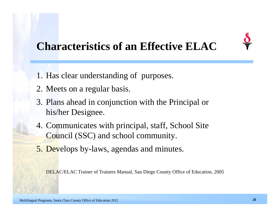### **Characteristics of an Effective ELAC**

- 1. Has clear understanding of purposes.
- 2. Meets on a regular basis.
- 3. Plans ahead in conjunction with the Principal or his/her Designee.
- 4. Communicates with principal, staff, School Site Council (SSC) and school community.
- 5. Develops by-laws, agendas and minutes.

DELAC/ELAC Trainer of Trainers Manual, San Diego County Office of Education, 2005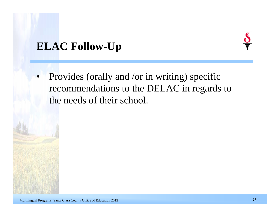### **ELAC Follow-Up**



• Provides (orally and /or in writing) specific recommendations to the DELAC in regards to the needs of their school.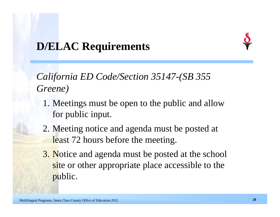# **D/ELAC Requirements**

*California ED Code/Section 35147-(SB 355 Greene)*

- 1. Meetings must be open to the public and allow for public input.
- 2. Meeting notice and agenda must be posted at least 72 hours before the meeting.
- 3. Notice and agenda must be posted at the school site or other appropriate place accessible to the public.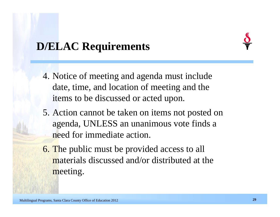# **D/ELAC Requirements**

- 4. Notice of meeting and agenda must include date, time, and location of meeting and the items to be discussed or acted upon.
- 5. Action cannot be taken on items not posted on agenda, UNLESS an unanimous vote finds a need for immediate action.
- 6. The public must be provided access to all materials discussed and/or distributed at the meeting.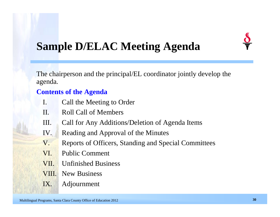

### **Sample D/ELAC Meeting Agenda**

The chairperson and the principal/EL coordinator jointly develop the agenda.

### **Contents of the Agenda**

- I. Call the Meeting to Order
- II. Roll Call of Members
- III. Call for Any Additions/Deletion of Agenda Items
- IV. Reading and Approval of the Minutes
- V. Reports of Officers, Standing and Special Committees
- VI. Public Comment
- VII. Unfinished Business
- VIII. New Business
- IX. Adjournment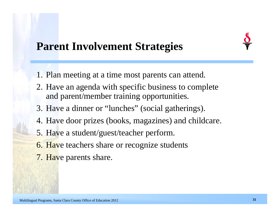

### **Parent Involvement Strategies**

- 1. Plan meeting at a time most parents can attend.
- 2. Have an agenda with specific business to complete and parent/member training opportunities.
- 3. Have a dinner or "lunches" (social gatherings).
- 4. Have door prizes (books, magazines) and childcare.
- 5. Have a student/guest/teacher perform.
- 6. Have teachers share or recognize students
- 7. Have parents share.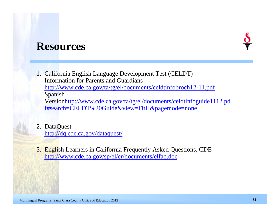### **Resources**



1. California English Language Development Test (CELDT) Information for Parents and Guardians

<http://www.cde.ca.gov/ta/tg/el/documents/celdtinfobroch12-11.pdf> Spanish

Version[http://www.cde.ca.gov/ta/tg/el/documents/celdtinfoguide1112.pd](http://www.cde.ca.gov/ta/tg/el/documents/celdtinfoguide1112.pdf)  [f#search=CELDT%20Guide&view=FitH&pagemode=none](http://www.cde.ca.gov/ta/tg/el/documents/celdtinfoguide1112.pdf)

- 2. DataQuest <http://dq.cde.ca.gov/dataquest/>
- 3. English Learners in California Frequently Asked Questions, CDE <http://www.cde.ca.gov/sp/el/er/documents/elfaq.doc>